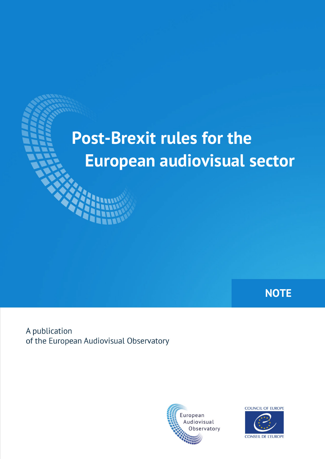# **Post-Brexit rules for the European audiovisual sector**

**NOTE**

A publication of the European Audiovisual Observatory



COUNCIL OF EUROPE **CONSEIL DE L'EUROPE**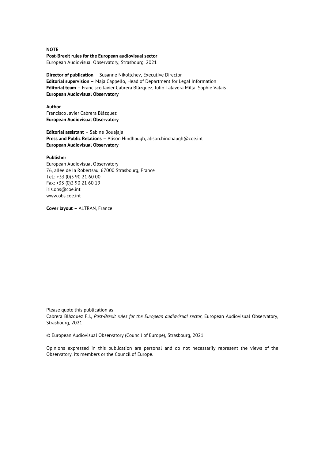**Post-Brexit rules for the European audiovisual sector** European Audiovisual Observatory, Strasbourg, 2021

**Director of publication** – Susanne Nikoltchev, Executive Director **Editorial supervision** – Maja Cappello, Head of Department for Legal Information **Editorial team** – Francisco Javier Cabrera Blázquez, Julio Talavera Milla, Sophie Valais **European Audiovisual Observatory**

**Author** Francisco Javier Cabrera Blázquez **European Audiovisual Observatory**

**Editorial assistant** – Sabine Bouajaja **Press and Public Relations** – Alison Hindhaugh, alison.hindhaugh@coe.int **European Audiovisual Observatory**

#### **Publisher**

European Audiovisual Observatory 76, allée de la Robertsau, 67000 Strasbourg, France Tel.: +33 (0)3 90 21 60 00 Fax: +33 (0)3 90 21 60 19 iris.obs@coe.int www.obs.coe.int

**Cover layout** – ALTRAN, France

Please quote this publication as Cabrera Blázquez F.J., *Post-Brexit rules for the European audiovisual sector*, European Audiovisual Observatory, Strasbourg, 2021

© European Audiovisual Observatory (Council of Europe), Strasbourg, 2021

Opinions expressed in this publication are personal and do not necessarily represent the views of the Observatory, its members or the Council of Europe.

#### **NOTE**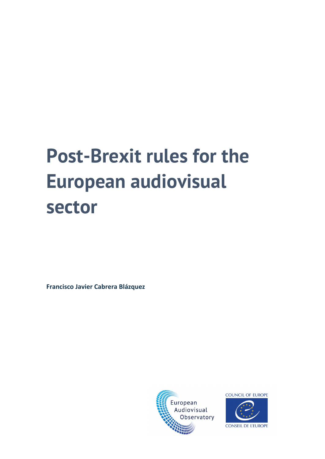# **Post-Brexit rules for the European audiovisual sector**

**Francisco Javier Cabrera Blázquez**



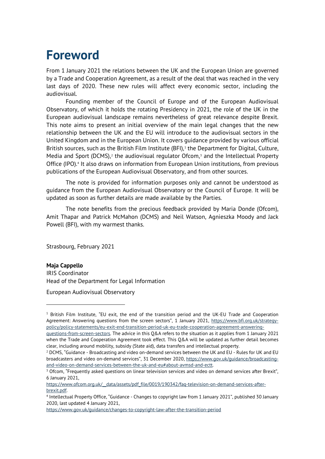# **Foreword**

From 1 January 2021 the relations between the UK and the European Union are governed by a Trade and Cooperation Agreement, as a result of the deal that was reached in the very last days of 2020. These new rules will affect every economic sector, including the audiovisual.

Founding member of the Council of Europe and of the European Audiovisual Observatory, of which it holds the rotating Presidency in 2021, the role of the UK in the European audiovisual landscape remains nevertheless of great relevance despite Brexit. This note aims to present an initial overview of the main legal changes that the new relationship between the UK and the EU will introduce to the audiovisual sectors in the United Kingdom and in the European Union. It covers guidance provided by various official British sources, such as the British Film Institute  $(BFI)$ ,<sup>[1](#page-3-0)</sup> the Department for Digital, Culture, Media and Sport (DCMS),<sup>[2](#page-3-1)</sup> the audiovisual regulator Ofcom,<sup>[3](#page-3-2)</sup> and the Intellectual Property Office (IPO).<sup>[4](#page-3-3)</sup> It also draws on information from European Union institutions, from previous publications of the European Audiovisual Observatory, and from other sources.

The note is provided for information purposes only and cannot be understood as guidance from the European Audiovisual Observatory or the Council of Europe. It will be updated as soon as further details are made available by the Parties.

The note benefits from the precious feedback provided by Maria Donde (Ofcom), Amit Thapar and Patrick McMahon (DCMS) and Neil Watson, Agnieszka Moody and Jack Powell (BFI), with my warmest thanks.

Strasbourg, February 2021

#### **Maja Cappello**

IRIS Coordinator Head of the Department for Legal Information

European Audiovisual Observatory

<span id="page-3-0"></span> $1$  British Film Institute, "EU exit, the end of the transition period and the UK-EU Trade and Cooperation Agreement: Answering questions from the screen sectors", 1 January 2021, [https://www.bfi.org.uk/strategy](https://www.bfi.org.uk/strategy-policy/policy-statements/eu-exit-end-transition-period-uk-eu-trade-cooperation-agreement-answering-questions-from-screen-sectors)[policy/policy-statements/eu-exit-end-transition-period-uk-eu-trade-cooperation-agreement-answering-](https://www.bfi.org.uk/strategy-policy/policy-statements/eu-exit-end-transition-period-uk-eu-trade-cooperation-agreement-answering-questions-from-screen-sectors)

[questions-from-screen-sectors.](https://www.bfi.org.uk/strategy-policy/policy-statements/eu-exit-end-transition-period-uk-eu-trade-cooperation-agreement-answering-questions-from-screen-sectors) The advice in this Q&A refers to the situation as it applies from 1 January 2021 when the Trade and Cooperation Agreement took effect. This Q&A will be updated as further detail becomes clear, including around mobility, subsidy (State aid), data transfers and intellectual property.

<span id="page-3-1"></span> $2$  DCMS, "Guidance - Broadcasting and video on-demand services between the UK and EU - Rules for UK and EU broadcasters and video on-demand services", 31 December 2020, [https://www.gov.uk/guidance/broadcasting](https://www.gov.uk/guidance/broadcasting-and-video-on-demand-services-between-the-uk-and-eu#about-avmsd-and-ectt)and-video-on-demand-services-between-the-uk-and-eu#about-avmsd-and-ectt.<br><sup>3</sup> Ofcom, "Frequently asked questions on linear television services and video on demand services after Brexit",

<span id="page-3-2"></span><sup>6</sup> January 2021,

https://www.ofcom.org.uk/ data/assets/pdf file/0019/190342/faq-television-on-demand-services-after-

<span id="page-3-3"></span>[brexit.pdf.](https://www.ofcom.org.uk/__data/assets/pdf_file/0019/190342/faq-television-on-demand-services-after-brexit.pdf) 4 Intellectual Property Office, "Guidance - Changes to copyright law from 1 January 2021", published 30 January 2020, last updated 4 January 2021,

<https://www.gov.uk/guidance/changes-to-copyright-law-after-the-transition-period>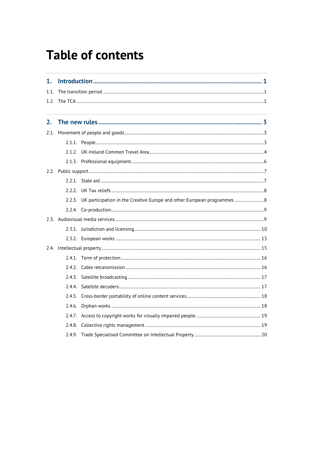# **Table of contents**

| 1.   |  |                                                                                |  |  |  |  |
|------|--|--------------------------------------------------------------------------------|--|--|--|--|
| 1.1. |  |                                                                                |  |  |  |  |
|      |  |                                                                                |  |  |  |  |
| 2.   |  |                                                                                |  |  |  |  |
| 2.1. |  |                                                                                |  |  |  |  |
|      |  |                                                                                |  |  |  |  |
|      |  |                                                                                |  |  |  |  |
|      |  |                                                                                |  |  |  |  |
|      |  |                                                                                |  |  |  |  |
|      |  |                                                                                |  |  |  |  |
|      |  |                                                                                |  |  |  |  |
|      |  | 2.2.3. UK participation in the Creative Europe and other European programmes 8 |  |  |  |  |
|      |  |                                                                                |  |  |  |  |
|      |  |                                                                                |  |  |  |  |
|      |  |                                                                                |  |  |  |  |
|      |  |                                                                                |  |  |  |  |
|      |  |                                                                                |  |  |  |  |
|      |  |                                                                                |  |  |  |  |
|      |  |                                                                                |  |  |  |  |
|      |  |                                                                                |  |  |  |  |
|      |  |                                                                                |  |  |  |  |
|      |  |                                                                                |  |  |  |  |
|      |  |                                                                                |  |  |  |  |
|      |  |                                                                                |  |  |  |  |
|      |  |                                                                                |  |  |  |  |
|      |  |                                                                                |  |  |  |  |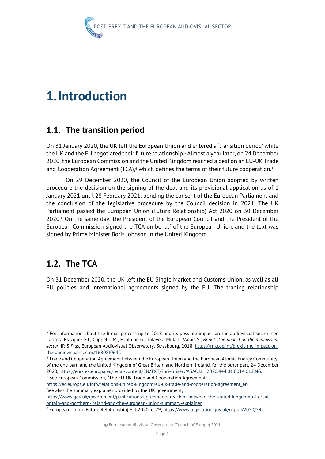

# <span id="page-5-0"></span>**1.Introduction**

# <span id="page-5-1"></span>**1.1. The transition period**

On 31 January 2020, the UK left the European Union and entered a 'transition period' while the UK and the EU negotiated their future relationship. [5](#page-5-3) Almost a year later, on 24 December 2020, the European Commission and the United Kingdom reached a deal on an EU-UK Trade and Cooperation Agreement (TCA), $6$  which defines the terms of their future cooperation.<sup>[7](#page-5-5)</sup>

On 29 December 2020, the Council of the European Union adopted by written procedure the decision on the signing of the deal and its provisional application as of 1 January 2021 until 28 February 2021, pending the consent of the European Parliament and the conclusion of the legislative procedure by the Council decision in 2021. The UK Parliament passed the European Union (Future Relationship) Act 2020 on 30 December 2020.<sup>[8](#page-5-6)</sup> On the same day, the President of the European Council and the President of the European Commission signed the TCA on behalf of the European Union, and the text was signed by Prime Minister Boris Johnson in the United Kingdom.

# <span id="page-5-2"></span>**1.2. The TCA**

On 31 December 2020, the UK left the EU Single Market and Customs Union, as well as all EU policies and international agreements signed by the EU. The trading relationship

See also the summary explainer provided by the UK government,

[https://www.gov.uk/government/publications/agreements-reached-between-the-united-kingdom-of-great-](https://www.gov.uk/government/publications/agreements-reached-between-the-united-kingdom-of-great-britain-and-northern-ireland-and-the-european-union/summary-explainer)

<span id="page-5-3"></span><sup>5</sup> For information about the Brexit process up to 2018 and its possible impact on the audiovisual sector, see Cabrera Blázquez F.J., Cappello M., Fontaine G., Talavera Milla J., Valais S., *Brexit: The impact on the audiovisual sector*, IRIS *Plus*, European Audiovisual Observatory, Strasbourg, 2018, [https://rm.coe.int/brexit-the-impact-on-](https://rm.coe.int/brexit-the-impact-on-the-audiovisual-sector/16808f064f)

<span id="page-5-4"></span>the-audiovisual-sector/16808f064f.<br><sup>6</sup> Trade and Cooperation Agreement between the European Union and the European Atomic Energy Community, of the one part, and the United Kingdom of Great Britain and Northern Ireland, for the other part, 24 December 2020, [https://eur-lex.europa.eu/legal-content/EN/TXT/?uri=uriserv%3AOJ.L\\_.2020.444.01.0014.01.ENG.](https://eur-lex.europa.eu/legal-content/EN/TXT/?uri=uriserv%3AOJ.L_.2020.444.01.0014.01.ENG)<br><sup>7</sup> See European Commission, "The EU-UK Trade and Cooperation Agreement",

<span id="page-5-5"></span>

[https://ec.europa.eu/info/relations-united-kingdom/eu-uk-trade-and-cooperation-agreement\\_en.](https://ec.europa.eu/info/relations-united-kingdom/eu-uk-trade-and-cooperation-agreement_en) 

<span id="page-5-6"></span>britain-and-northern-ireland-and-the-european-union/summary-explainer.<br><sup>8</sup> European Union (Future Relationship) Act 2020, c. 29, [https://www.legislation.gov.uk/ukpga/2020/29.](https://www.legislation.gov.uk/ukpga/2020/29)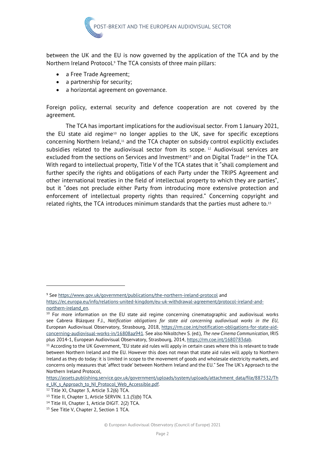

between the UK and the EU is now governed by the application of the TCA and by the Northern Ireland Protocol.<sup>9</sup> The TCA consists of three main pillars:

- a Free Trade Agreement;
- a partnership for security;
- a horizontal agreement on governance.

Foreign policy, external security and defence cooperation are not covered by the agreement.

The TCA has important implications for the audiovisual sector. From 1 January 2021, the EU state aid regime<sup>[10](#page-6-1)</sup> no longer applies to the UK, save for specific exceptions concerning Northern Ireland,<sup>[11](#page-6-2)</sup> and the TCA chapter on subsidy control explicitly excludes subsidies related to the audiovisual sector from its scope. [12](#page-6-3) Audiovisual services are excluded from the sections on Services and Investment<sup>[13](#page-6-4)</sup> and on Digital Trade<sup>[14](#page-6-5)</sup> in the TCA. With regard to intellectual property, Title V of the TCA states that it "shall complement and further specify the rights and obligations of each Party under the TRIPS Agreement and other international treaties in the field of intellectual property to which they are parties", but it "does not preclude either Party from introducing more extensive protection and enforcement of intellectual property rights than required." Concerning copyright and related rights, the TCA introduces minimum standards that the parties must adhere to. $15$ 

<span id="page-6-0"></span><sup>&</sup>lt;sup>9</sup> See<https://www.gov.uk/government/publications/the-northern-ireland-protocol> and [https://ec.europa.eu/info/relations-united-kingdom/eu-uk-withdrawal-agreement/protocol-ireland-and-](https://ec.europa.eu/info/relations-united-kingdom/eu-uk-withdrawal-agreement/protocol-ireland-and-northern-ireland_en)

<span id="page-6-1"></span>northern-ireland\_en.<br><sup>10</sup> For more information on the EU state aid regime concerning cinematographic and audiovisual works see Cabrera Blázquez F.J., *Notification obligations for state aid concerning audiovisual works in the EU*, European Audiovisual Observatory, Strasbourg, 2018, [https://rm.coe.int/notification-obligations-for-state-aid](https://rm.coe.int/notification-obligations-for-state-aid-concerning-audiovisual-works-in/16808aa941)[concerning-audiovisual-works-in/16808aa941.](https://rm.coe.int/notification-obligations-for-state-aid-concerning-audiovisual-works-in/16808aa941) See also Nikoltchev S. (ed.), *The new Cinema Communication*, IRIS plus 2014-1, European Audiovisual Observatory, Strasbourg, 2014, https://rm.coe.int/1680783dab.<br><sup>11</sup> According to the UK Government, "EU state aid rules will apply in certain cases where this is relevant to trade

<span id="page-6-2"></span>between Northern Ireland and the EU. However this does not mean that state aid rules will apply to Northern Ireland as they do today: it is limited in scope to the movement of goods and wholesale electricity markets, and concerns only measures that 'affect trade' between Northern Ireland and the EU." See The UK's Approach to the Northern Ireland Protocol,

[https://assets.publishing.service.gov.uk/government/uploads/system/uploads/attachment\\_data/file/887532/Th](https://assets.publishing.service.gov.uk/government/uploads/system/uploads/attachment_data/file/887532/The_UK_s_Approach_to_NI_Protocol_Web_Accessible.pdf) e\_UK\_s\_Approach\_to\_NI\_Protocol\_Web\_Accessible.pdf.<br><sup>12</sup> Title XI, Chapter 3, Article 3.2(6) TCA.

<span id="page-6-3"></span>

<span id="page-6-4"></span><sup>&</sup>lt;sup>13</sup> Title II, Chapter 1, Article SERVIN. 1.1.(5)(b) TCA.

<sup>14</sup> Title III, Chapter 1, Article DIGIT. 2(2) TCA.

<span id="page-6-6"></span><span id="page-6-5"></span><sup>&</sup>lt;sup>15</sup> See Title V, Chapter 2, Section 1 TCA.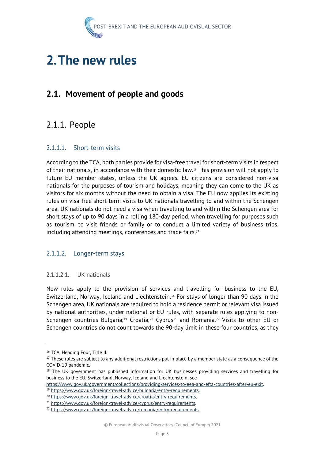

# <span id="page-7-0"></span>**2.The new rules**

# <span id="page-7-1"></span>**2.1. Movement of people and goods**

# <span id="page-7-2"></span>2.1.1. People

#### 2.1.1.1. Short-term visits

According to the TCA, both parties provide for visa-free travel for short-term visits in respect of their nationals, in accordance with their domestic law.[16](#page-7-3) This provision will not apply to future EU member states, unless the UK agrees. EU citizens are considered non-visa nationals for the purposes of tourism and holidays, meaning they can come to the UK as visitors for six months without the need to obtain a visa. The EU now applies its existing rules on visa-free short-term visits to UK nationals travelling to and within the Schengen area. UK nationals do not need a visa when travelling to and within the Schengen area for short stays of up to 90 days in a rolling 180-day period, when travelling for purposes such as tourism, to visit friends or family or to conduct a limited variety of business trips, including attending meetings, conferences and trade fairs.<sup>[17](#page-7-4)</sup>

#### 2.1.1.2. Longer-term stays

#### 2.1.1.2.1. UK nationals

New rules apply to the provision of services and travelling for business to the EU, Switzerland, Norway, Iceland and Liechtenstein.[18](#page-7-5) For stays of longer than 90 days in the Schengen area, UK nationals are required to hold a residence permit or relevant visa issued by national authorities, under national or EU rules, with separate rules applying to non-Schengen countries Bulgaria,<sup>[19](#page-7-6)</sup> Croatia,<sup>[20](#page-7-7)</sup> Cyprus<sup>[21](#page-7-8)</sup> and Romania.<sup>[22](#page-7-9)</sup> Visits to other EU or Schengen countries do not count towards the 90-day limit in these four countries, as they

<span id="page-7-6"></span>https://www.gov.uk/government/collections/providing-services-to-eea-and-efta-countries-after-eu-exit.<br>
<sup>19</sup> https://www.gov.uk/foreign-travel-advice/bulgaria/entry-requirements.<br>
<sup>20</sup> https://www.gov.uk/foreign-travel-advi

<span id="page-7-3"></span><sup>&</sup>lt;sup>16</sup> TCA, Heading Four, Title II.

<span id="page-7-4"></span> $17$  These rules are subject to any additional restrictions put in place by a member state as a consequence of the COVID-19 pandemic.

<span id="page-7-5"></span><sup>&</sup>lt;sup>18</sup> The UK government has published information for UK businesses providing services and travelling for business to the EU, Switzerland, Norway, Iceland and Liechtenstein, see

<span id="page-7-8"></span><span id="page-7-7"></span>

<span id="page-7-9"></span>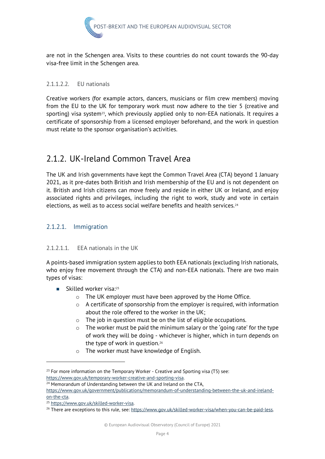

are not in the Schengen area. Visits to these countries do not count towards the 90-day visa-free limit in the Schengen area.

#### 2.1.1.2.2. EU nationals

Creative workers (for example actors, dancers, musicians or film crew members) moving from the EU to the UK for temporary work must now adhere to the tier 5 (creative and sporting) visa system<sup>[23](#page-8-1)</sup>, which previously applied only to non-EEA nationals. It requires a certificate of sponsorship from a licensed employer beforehand, and the work in question must relate to the sponsor organisation's activities.

# <span id="page-8-0"></span>2.1.2. UK-Ireland Common Travel Area

The UK and Irish governments have kept the Common Travel Area (CTA) beyond 1 January 2021, as it pre-dates both British and Irish membership of the EU and is not dependent on it. British and Irish citizens can move freely and reside in either UK or Ireland, and enjoy associated rights and privileges, including the right to work, study and vote in certain elections, as well as to access social welfare benefits and health services.<sup>[24](#page-8-2)</sup>

#### 2.1.2.1. Immigration

#### 2.1.2.1.1. EEA nationals in the UK

A points-based immigration system applies to both EEA nationals (excluding Irish nationals, who enjoy free movement through the CTA) and non-EEA nationals. There are two main types of visas:

- Skilled worker visa:<sup>25</sup>
	- o The UK employer must have been approved by the Home Office.
	- o A certificate of sponsorship from the employer is required, with information about the role offered to the worker in the UK;
	- o The job in question must be on the list of eligible occupations.
	- o The worker must be paid the minimum salary or the 'going rate' for the type of work they will be doing - whichever is higher, which in turn depends on the type of work in question.<sup>[26](#page-8-4)</sup>
	- o The worker must have knowledge of English.

<span id="page-8-1"></span> $23$  For more information on the Temporary Worker - Creative and Sporting visa (T5) see: [https://www.gov.uk/temporary-worker-creative-and-sporting-visa.](https://www.gov.uk/temporary-worker-creative-and-sporting-visa) 24 Memorandum of Understanding between the UK and Ireland on the CTA,

<span id="page-8-2"></span>[https://www.gov.uk/government/publications/memorandum-of-understanding-between-the-uk-and-ireland](https://www.gov.uk/government/publications/memorandum-of-understanding-between-the-uk-and-ireland-on-the-cta)on-the-cta.<br><sup>25</sup> https://www.gov.uk/skilled-worker-visa.<br><sup>26</sup> There are exceptions to this rule, see: <u>https://www.gov.uk/skilled-worker-visa/when-you-can-be-paid-less</u>.

<span id="page-8-3"></span>

<span id="page-8-4"></span>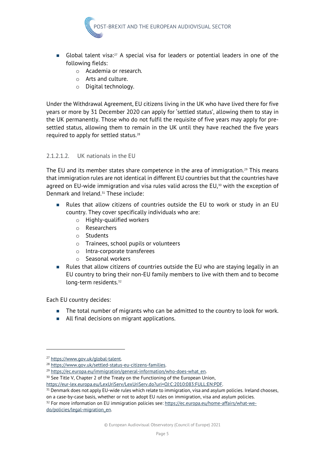

- Global talent visa:<sup>[27](#page-9-0)</sup> A special visa for leaders or potential leaders in one of the following fields:
	- o Academia or research.
	- o Arts and culture.
	- o Digital technology.

Under the Withdrawal Agreement, EU citizens living in the UK who have lived there for five years or more by 31 December 2020 can apply for 'settled status', allowing them to stay in the UK permanently. Those who do not fulfil the requisite of five years may apply for presettled status, allowing them to remain in the UK until they have reached the five years required to apply for settled status.[28](#page-9-1)

#### 2.1.2.1.2. UK nationals in the EU

The EU and its member states share competence in the area of immigration.<sup>[29](#page-9-2)</sup> This means that immigration rules are not identical in different EU countries but that the countries have agreed on EU-wide immigration and visa rules valid across the EU, $30$  with the exception of Denmark and Ireland.<sup>31</sup> These include:

- Rules that allow citizens of countries outside the EU to work or study in an EU country. They cover specifically individuals who are:
	- o Highly-qualified workers
	- o Researchers
	- o Students
	- o Trainees, school pupils or volunteers
	- o Intra-corporate transferees
	- o Seasonal workers
- Rules that allow citizens of countries outside the EU who are staying legally in an EU country to bring their non-EU family members to live with them and to become long-term residents.<sup>[32](#page-9-5)</sup>

Each EU country decides:

- The total number of migrants who can be admitted to the country to look for work.
- All final decisions on migrant applications.

<span id="page-9-1"></span><span id="page-9-0"></span><sup>&</sup>lt;sup>27</sup> https://www.gov.uk/global-talent.<br><sup>28</sup> https://www.gov.uk/settled-status-eu-citizens-families.<br><sup>29</sup> https://ec.europa.eu/immigration/general-information/who-does-what\_en.<br><sup>30</sup> See Title V, Chapter 2 of the Treaty on t

<span id="page-9-3"></span><span id="page-9-2"></span>

<span id="page-9-4"></span>https://eur-lex.europa.eu/LexUriServ/LexUriServ.do?uri=OJ:C:2010:083:FULL:EN:PDF.<br><sup>31</sup> Denmark does not apply EU-wide rules which relate to immigration, visa and asylum policies. Ireland chooses, on a case-by-case basis, whether or not to adopt EU rules on immigration, visa and asylum policies.

<span id="page-9-5"></span><sup>&</sup>lt;sup>32</sup> For more information on EU immigration policies see: [https://ec.europa.eu/home-affairs/what-we](https://ec.europa.eu/home-affairs/what-we-do/policies/legal-migration_en)[do/policies/legal-migration\\_en.](https://ec.europa.eu/home-affairs/what-we-do/policies/legal-migration_en)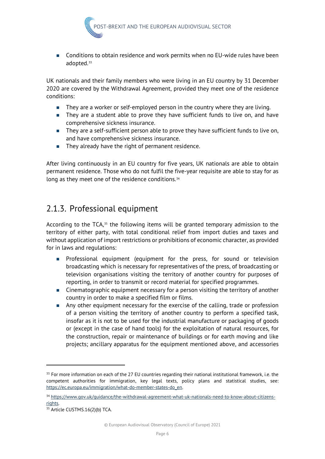

 Conditions to obtain residence and work permits when no EU-wide rules have been adopted.<sup>[33](#page-10-1)</sup>

UK nationals and their family members who were living in an EU country by 31 December 2020 are covered by the Withdrawal Agreement, provided they meet one of the residence conditions:

- **They are a worker or self-employed person in the country where they are living.**
- They are a student able to prove they have sufficient funds to live on, and have comprehensive sickness insurance.
- **They are a self-sufficient person able to prove they have sufficient funds to live on,** and have comprehensive sickness insurance.
- They already have the right of permanent residence.

After living continuously in an EU country for five years, UK nationals are able to obtain permanent residence. Those who do not fulfil the five-year requisite are able to stay for as long as they meet one of the residence conditions.<sup>[34](#page-10-2)</sup>

### <span id="page-10-0"></span>2.1.3. Professional equipment

According to the TCA,<sup>[35](#page-10-3)</sup> the following items will be granted temporary admission to the territory of either party, with total conditional relief from import duties and taxes and without application of import restrictions or prohibitions of economic character, as provided for in laws and regulations:

- **Professional equipment (equipment for the press, for sound or television** broadcasting which is necessary for representatives of the press, of broadcasting or television organisations visiting the territory of another country for purposes of reporting, in order to transmit or record material for specified programmes.
- **EXECT** Cinematographic equipment necessary for a person visiting the territory of another country in order to make a specified film or films.
- Any other equipment necessary for the exercise of the calling, trade or profession of a person visiting the territory of another country to perform a specified task, insofar as it is not to be used for the industrial manufacture or packaging of goods or (except in the case of hand tools) for the exploitation of natural resources, for the construction, repair or maintenance of buildings or for earth moving and like projects; ancillary apparatus for the equipment mentioned above, and accessories

<span id="page-10-1"></span><sup>&</sup>lt;sup>33</sup> For more information on each of the 27 EU countries regarding their national institutional framework, i.e. the competent authorities for immigration, key legal texts, policy plans and statistical studies, see: [https://ec.europa.eu/immigration/what-do-member-states-do\\_en.](https://ec.europa.eu/immigration/what-do-member-states-do_en) 

<span id="page-10-2"></span><sup>34</sup> [https://www.gov.uk/guidance/the-withdrawal-agreement-what-uk-nationals-need-to-know-about-citizens-](https://www.gov.uk/guidance/the-withdrawal-agreement-what-uk-nationals-need-to-know-about-citizens-rights)

<span id="page-10-3"></span><sup>&</sup>lt;u>rights</u>.<br><sup>35</sup> Article CUSTMS.16(2)(b) TCA.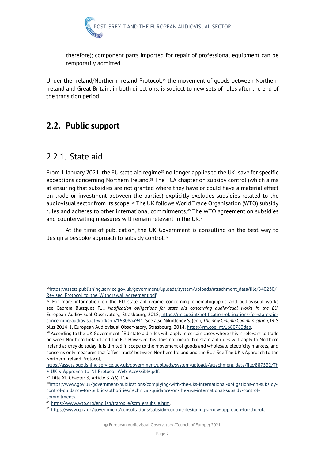

therefore); component parts imported for repair of professional equipment can be temporarily admitted.

Under the Ireland/Northern Ireland Protocol,<sup>36</sup> the movement of goods between Northern Ireland and Great Britain, in both directions, is subject to new sets of rules after the end of the transition period.

# <span id="page-11-0"></span>**2.2. Public support**

### <span id="page-11-1"></span>2.2.1. State aid

From 1 January 2021, the EU state aid regime $37$  no longer applies to the UK, save for specific exceptions concerning Northern Ireland.<sup>[38](#page-11-4)</sup> The TCA chapter on subsidy control (which aims at ensuring that subsidies are not granted where they have or could have a material effect on trade or investment between the parties) explicitly excludes subsidies related to the audiovisual sector from its scope. [39](#page-11-5) The UK follows World Trade Organisation (WTO) subsidy rules and adheres to other international commitments.<sup>[40](#page-11-6)</sup> The WTO agreement on subsidies and countervailing measures will remain relevant in the UK.<sup>[41](#page-11-7)</sup>

At the time of publication, the UK Government is consulting on the best way to design a bespoke approach to subsidy control.[42](#page-11-8)

<span id="page-11-2"></span><sup>3</sup>[6https://assets.publishing.service.gov.uk/government/uploads/system/uploads/attachment\\_data/file/840230/](https://assets.publishing.service.gov.uk/government/uploads/system/uploads/attachment_data/file/840230/Revised_Protocol_to_the_Withdrawal_Agreement.pdf) Revised\_Protocol\_to\_the\_Withdrawal\_Agreement.pdf.<br><sup>37</sup> For more information on the EU state aid regime concerning cinematographic and audiovisual works

<span id="page-11-3"></span>see Cabrera Blázquez F.J., *Notification obligations for state aid concerning audiovisual works in the EU*, European Audiovisual Observatory, Strasbourg, 2018, [https://rm.coe.int/notification-obligations-for-state-aid](https://rm.coe.int/notification-obligations-for-state-aid-concerning-audiovisual-works-in/16808aa941)[concerning-audiovisual-works-in/16808aa941.](https://rm.coe.int/notification-obligations-for-state-aid-concerning-audiovisual-works-in/16808aa941) See also Nikoltchev S. (ed.), *The new Cinema Communication*, IRIS

<span id="page-11-4"></span>plus 2014-1, European Audiovisual Observatory, Strasbourg, 2014, https://rm.coe.int/1680783dab.<br><sup>38</sup> According to the UK Government, "EU state aid rules will apply in certain cases where this is relevant to trade between Northern Ireland and the EU. However this does not mean that state aid rules will apply to Northern Ireland as they do today: it is limited in scope to the movement of goods and wholesale electricity markets, and concerns only measures that 'affect trade' between Northern Ireland and the EU." See The UK's Approach to the Northern Ireland Protocol,

[https://assets.publishing.service.gov.uk/government/uploads/system/uploads/attachment\\_data/file/887532/Th](https://assets.publishing.service.gov.uk/government/uploads/system/uploads/attachment_data/file/887532/The_UK_s_Approach_to_NI_Protocol_Web_Accessible.pdf) e\_UK\_s\_Approach\_to\_NI\_Protocol\_Web\_Accessible.pdf.<br><sup>39</sup> Title XI, Chapter 3, Article 3.2(6) TCA.

<span id="page-11-5"></span>

<span id="page-11-6"></span><sup>4</sup>[0https://www.gov.uk/government/publications/complying-with-the-uks-international-obligations-on-subsidy](https://www.gov.uk/government/publications/complying-with-the-uks-international-obligations-on-subsidy-control-guidance-for-public-authorities/technical-guidance-on-the-uks-international-subsidy-control-commitments)[control-guidance-for-public-authorities/technical-guidance-on-the-uks-international-subsidy-control-](https://www.gov.uk/government/publications/complying-with-the-uks-international-obligations-on-subsidy-control-guidance-for-public-authorities/technical-guidance-on-the-uks-international-subsidy-control-commitments)

<span id="page-11-8"></span>

<span id="page-11-7"></span>commitments.<br><sup>41</sup> https://www.wto.org/english/tratop\_e/scm\_e/subs\_e.htm.<br><sup>42</sup> https://www.gov.uk/government/consultations/subsidy-control-designing-a-new-approach-for-the-uk.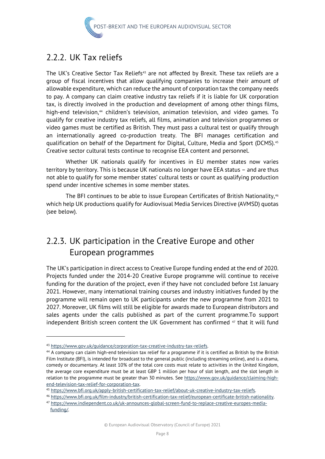

# <span id="page-12-0"></span>2.2.2. UK Tax reliefs

The UK's Creative Sector Tax Reliefs<sup>[43](#page-12-2)</sup> are not affected by Brexit. These tax reliefs are a group of fiscal incentives that allow qualifying companies to increase their amount of allowable expenditure, which can reduce the amount of corporation tax the company needs to pay. A company can claim creative industry tax reliefs if it is liable for UK corporation tax, is directly involved in the production and development of among other things films, high-end television,<sup>[44](#page-12-3)</sup> children's television, animation television, and video games. To qualify for creative industry tax reliefs, all films, animation and television programmes or video games must be certified as British. They must pass a cultural test or qualify through an internationally agreed co-production treaty. The BFI manages certification and qualification on behalf of the Department for Digital, Culture, Media and Sport (DCMS).<sup>[45](#page-12-4)</sup> Creative sector cultural tests continue to recognise EEA content and personnel.

Whether UK nationals qualify for incentives in EU member states now varies territory by territory. This is because UK nationals no longer have EEA status – and are thus not able to qualify for some member states' cultural tests or count as qualifying production spend under incentive schemes in some member states.

The BFI continues to be able to issue European Certificates of British Nationality,<sup>[46](#page-12-5)</sup> which help UK productions qualify for Audiovisual Media Services Directive (AVMSD) quotas (see below).

# <span id="page-12-1"></span>2.2.3. UK participation in the Creative Europe and other European programmes

The UK's participation in direct access to Creative Europe funding ended at the end of 2020. Projects funded under the 2014-20 Creative Europe programme will continue to receive funding for the duration of the project, even if they have not concluded before 1st January 2021. However, many international training courses and industry initiatives funded by the programme will remain open to UK participants under the new programme from 2021 to 2027. Moreover, UK films will still be eligible for awards made to European distributors and sales agents under the calls published as part of the current programme.To support independent British screen content the UK Government has confirmed  $47$  that it will fund

<span id="page-12-3"></span><span id="page-12-2"></span><sup>&</sup>lt;sup>43</sup> https://www.gov.uk/guidance/corporation-tax-creative-industry-tax-reliefs.<br><sup>44</sup> A company can claim high-end television tax relief for a programme if it is certified as British by the British Film Institute (BFI), is intended for broadcast to the general public (including streaming online), and is a drama, comedy or documentary. At least 10% of the total core costs must relate to activities in the United Kingdom, the average core expenditure must be at least GBP 1 million per hour of slot length, and the slot length in relation to the programme must be greater than 30 minutes. See [https://www.gov.uk/guidance/claiming-high-](https://www.gov.uk/guidance/claiming-high-end-television-tax-relief-for-corporation-tax)

<span id="page-12-5"></span><span id="page-12-4"></span>

end-television-tax-relief-for-corporation-tax.<br><sup>45</sup> https://www.bfi.org.uk/apply-british-certification-tax-relief/about-uk-creative-industry-tax-reliefs.<br><sup>46</sup> https://www.bfi.org.uk/film-industry/british-certification-tax-

<span id="page-12-6"></span>[funding/.](https://www.indiependent.co.uk/uk-announces-global-screen-fund-to-replace-creative-europes-media-funding/)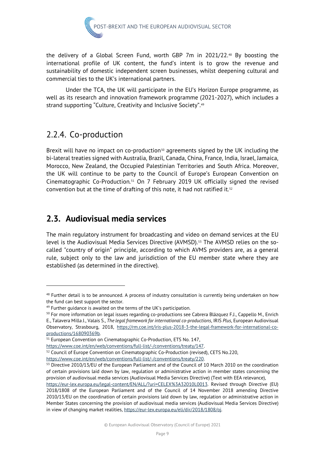

the delivery of a Global Screen Fund, worth GBP 7m in 2021/22.[48](#page-13-2) By boosting the international profile of UK content, the fund's intent is to grow the revenue and sustainability of domestic independent screen businesses, whilst deepening cultural and commercial ties to the UK's international partners.

Under the TCA, the UK will participate in the EU's Horizon Europe programme, as well as its research and innovation framework programme (2021-2027), which includes a strand supporting "Culture, Creativity and Inclusive Society".[49](#page-13-3)

# <span id="page-13-0"></span>2.2.4. Co-production

Brexit will have no impact on co-production $50$  agreements signed by the UK including the bi-lateral treaties signed with Australia, Brazil, Canada, China, France, India, Israel, Jamaica, Morocco, New Zealand, the Occupied Palestinian Territories and South Africa. Moreover, the UK will continue to be party to the Council of Europe's European Convention on Cinematographic Co-Production.[51](#page-13-5) On 7 February 2019 UK officially signed the revised convention but at the time of drafting of this note, it had not ratified it.<sup>[52](#page-13-6)</sup>

# <span id="page-13-1"></span>**2.3. Audiovisual media services**

The main regulatory instrument for broadcasting and video on demand services at the EU level is the Audiovisual Media Services Directive (AVMSD).<sup>[53](#page-13-7)</sup> The AVMSD relies on the socalled "country of origin" principle, according to which AVMS providers are, as a general rule, subject only to the law and jurisdiction of the EU member state where they are established (as determined in the directive).

<span id="page-13-2"></span><sup>48</sup> Further detail is to be announced. A process of industry consultation is currently being undertaken on how the fund can best support the sector.

<span id="page-13-3"></span> $49$  Further quidance is awaited on the terms of the UK's participation.

<span id="page-13-4"></span><sup>&</sup>lt;sup>50</sup> For more information on legal issues regarding co-productions see Cabrera Blázquez F.J., Cappello M., Enrich E., Talavera Milla J., Valais S., *The legal framework for international co-productions*, IRIS *Plus*, European Audiovisual

Observatory, Strasbourg, 2018, [https://rm.coe.int/iris-plus-2018-3-the-legal-framework-for-international-co](https://rm.coe.int/iris-plus-2018-3-the-legal-framework-for-international-co-productions/168090369b)productions/168090369b.<br><sup>51</sup> European Convention on Cinematographic Co-Production, ETS No. 147,

<span id="page-13-5"></span>

https://www.coe.int/en/web/conventions/full-list/-/conventions/treaty/147.<br><sup>52</sup> Council of Europe Convention on Cinematographic Co-Production (revised), CETS No.220,

<span id="page-13-7"></span><span id="page-13-6"></span>

https://www.coe.int/en/web/conventions/full-list/-/conventions/treaty/220.<br><sup>53</sup> Directive 2010/13/EU of the European Parliament and of the Council of 10 March 2010 on the coordination of certain provisions laid down by law, regulation or administrative action in member states concerning the provision of audiovisual media services (Audiovisual Media Services Directive) (Text with EEA relevance),

[https://eur-lex.europa.eu/legal-content/EN/ALL/?uri=CELEX%3A32010L0013.](https://eur-lex.europa.eu/legal-content/EN/ALL/?uri=CELEX%3A32010L0013) Revised through Directive (EU) 2018/1808 of the European Parliament and of the Council of 14 November 2018 amending Directive 2010/13/EU on the coordination of certain provisions laid down by law, regulation or administrative action in Member States concerning the provision of audiovisual media services (Audiovisual Media Services Directive) in view of changing market realities[, https://eur-lex.europa.eu/eli/dir/2018/1808/oj.](https://eur-lex.europa.eu/eli/dir/2018/1808/oj)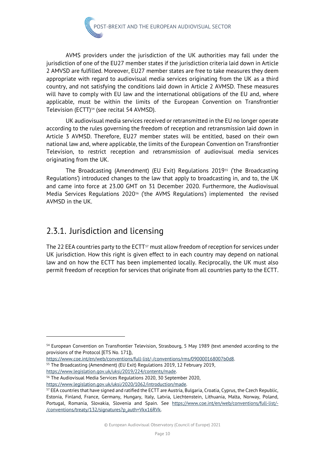

AVMS providers under the jurisdiction of the UK authorities may fall under the jurisdiction of one of the EU27 member states if the jurisdiction criteria laid down in Article 2 AMVSD are fulfilled. Moreover, EU27 member states are free to take measures they deem appropriate with regard to audiovisual media services originating from the UK as a third country, and not satisfying the conditions laid down in Article 2 AVMSD. These measures will have to comply with EU law and the international obligations of the EU and, where applicable, must be within the limits of the European Convention on Transfrontier Television (ECTT)<sup>[54](#page-14-1)</sup> (see recital 54 AVMSD).

UK audiovisual media services received or retransmitted in the EU no longer operate according to the rules governing the freedom of reception and retransmission laid down in Article 3 AVMSD. Therefore, EU27 member states will be entitled, based on their own national law and, where applicable, the limits of the European Convention on Transfrontier Television, to restrict reception and retransmission of audiovisual media services originating from the UK.

The Broadcasting (Amendment) (EU Exit) Regulations 2019[55](#page-14-2) ('the Broadcasting Regulations') introduced changes to the law that apply to broadcasting in, and to, the UK and came into force at 23.00 GMT on 31 December 2020. Furthermore, the Audiovisual Media Services Regulations 2020<sup>[56](#page-14-3)</sup> ('the AVMS Regulations') implemented the revised AVMSD in the UK.

# <span id="page-14-0"></span>2.3.1. Jurisdiction and licensing

The 22 EEA countries party to the ECTT<sup>[57](#page-14-4)</sup> must allow freedom of reception for services under UK jurisdiction. How this right is given effect to in each country may depend on national law and on how the ECTT has been implemented locally. Reciprocally, the UK must also permit freedom of reception for services that originate from all countries party to the ECTT.

<span id="page-14-1"></span><sup>54</sup> European Convention on Transfrontier Television, Strasbourg, 5 May 1989 (text amended according to the provisions of the Protocol [ETS No. 171]),

<span id="page-14-2"></span>[https://www.coe.int/en/web/conventions/full-list/-/conventions/rms/090000168007b0d8.](https://www.coe.int/en/web/conventions/full-list/-/conventions/rms/090000168007b0d8) 55 The Broadcasting (Amendment) (EU Exit) Regulations 2019, 12 February 2019,

[https://www.legislation.gov.uk/uksi/2019/224/contents/made.](https://www.legislation.gov.uk/uksi/2019/224/contents/made) 56 The Audiovisual Media Services Regulations 2020, 30 September 2020,

<span id="page-14-3"></span>

<span id="page-14-4"></span>https://www.legislation.gov.uk/uksi/2020/1062/introduction/made.<br><sup>57</sup> EEA countries that have signed and ratified the ECTT are Austria, Bulgaria, Croatia, Cyprus, the Czech Republic, Estonia, Finland, France, Germany, Hungary, Italy, Latvia, Liechtenstein, Lithuania, Malta, Norway, Poland, Portugal, Romania, Slovakia, Slovenia and Spain. See [https://www.coe.int/en/web/conventions/full-list/-](https://www.coe.int/en/web/conventions/full-list/-/conventions/treaty/132/signatures?p_auth=Vkx16RVk) [/conventions/treaty/132/signatures?p\\_auth=Vkx16RVk.](https://www.coe.int/en/web/conventions/full-list/-/conventions/treaty/132/signatures?p_auth=Vkx16RVk)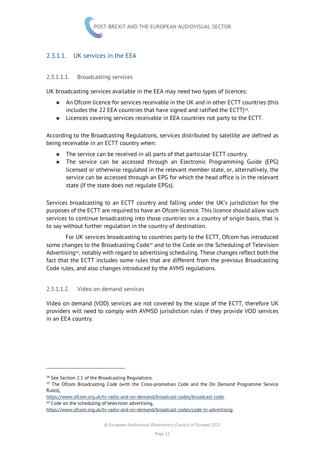

#### 2.3.1.1. UK services in the EEA

#### 2.3.1.1.1. Broadcasting services

UK broadcasting services available in the EEA may need two types of licences:

- An Ofcom licence for services receivable in the UK and in other ECTT countries (this includes the 22 EEA countries that have signed and ratified the ECTT)<sup>58</sup>.
- Licences covering services receivable in EEA countries not party to the ECTT.

According to the Broadcasting Regulations, services distributed by satellite are defined as being receivable in an ECTT country when:

- The service can be received in all parts of that particular ECTT country.
- **The service can be accessed through an Electronic Programming Guide (EPG)** licensed or otherwise regulated in the relevant member state, or, alternatively, the service can be accessed through an EPG for which the head office is in the relevant state (if the state does not regulate EPGs).

Services broadcasting to an ECTT country and falling under the UK's jurisdiction for the purposes of the ECTT are required to have an Ofcom licence. This licence should allow such services to continue broadcasting into those countries on a country of origin basis, that is to say without further regulation in the country of destination.

For UK services broadcasting to countries party to the ECTT, Ofcom has introduced some changes to the Broadcasting Code<sup>[59](#page-15-1)</sup> and to the Code on the Scheduling of Television Advertising<sup>60</sup>, notably with regard to advertising scheduling. These changes reflect both the fact that the ECTT includes some rules that are different from the previous Broadcasting Code rules, and also changes introduced by the AVMS regulations.

#### 2.3.1.1.2. Video on demand services

Video on demand (VOD) services are not covered by the scope of the ECTT, therefore UK providers will need to comply with AVMSD jurisdiction rules if they provide VOD services in an EEA country.

<span id="page-15-2"></span>

<span id="page-15-0"></span><sup>&</sup>lt;sup>58</sup> See Section 2.1 of the Broadcasting Regulations.

<span id="page-15-1"></span><sup>&</sup>lt;sup>59</sup> The Ofcom Broadcasting Code (with the Cross-promotion Code and the On Demand Programme Service Rules),

https://www.ofcom.org.uk/tv-radio-and-on-demand/broadcast-codes/broadcast-code.<br><sup>60</sup> Code on the scheduling of television advertising,

[https://www.ofcom.org.uk/tv-radio-and-on-demand/broadcast-codes/code-tv-advertising.](https://www.ofcom.org.uk/tv-radio-and-on-demand/broadcast-codes/code-tv-advertising)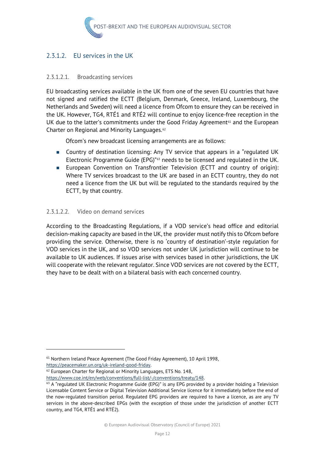

#### 2.3.1.2. EU services in the UK

#### 2.3.1.2.1. Broadcasting services

EU broadcasting services available in the UK from one of the seven EU countries that have not signed and ratified the ECTT (Belgium, Denmark, Greece, Ireland, Luxembourg, the Netherlands and Sweden) will need a licence from Ofcom to ensure they can be received in the UK. However, TG4, RTÉ1 and RTÉ2 will continue to enjoy licence-free reception in the UK due to the latter's commitments under the Good Friday Agreement<sup>61</sup> and the European Charter on Regional and Minority Languages.<sup>[62](#page-16-1)</sup>

Ofcom's new broadcast licensing arrangements are as follows:

- Country of destination licensing: Any TV service that appears in a "regulated UK Electronic Programme Guide (EPG)"[63](#page-16-2) needs to be licensed and regulated in the UK.
- **European Convention on Transfrontier Television (ECTT and country of origin):** Where TV services broadcast to the UK are based in an ECTT country, they do not need a licence from the UK but will be regulated to the standards required by the ECTT, by that country.

#### 2.3.1.2.2. Video on demand services

According to the Broadcasting Regulations, if a VOD service's head office and editorial decision-making capacity are based in the UK, the provider must notify this to Ofcom before providing the service. Otherwise, there is no 'country of destination'-style regulation for VOD services in the UK, and so VOD services not under UK jurisdiction will continue to be available to UK audiences. If issues arise with services based in other jurisdictions, the UK will cooperate with the relevant regulator. Since VOD services are not covered by the ECTT, they have to be dealt with on a bilateral basis with each concerned country.

<span id="page-16-0"></span><sup>61</sup> Northern Ireland Peace Agreement (The Good Friday Agreement), 10 April 1998,

<span id="page-16-1"></span>https://peacemaker.un.org/uk-ireland-good-friday.<br><sup>62</sup> European Charter for Regional or Minority Languages, ETS No. 148,

<span id="page-16-2"></span>https://www.coe.int/en/web/conventions/full-list/-/conventions/treaty/148.<br><sup>63</sup> A "regulated UK Electronic Programme Guide (EPG)" is any EPG provided by a provider holding a Television Licensable Content Service or Digital Television Additional Service licence for it immediately before the end of the now-regulated transition period. Regulated EPG providers are required to have a licence, as are any TV services in the above-described EPGs (with the exception of those under the jurisdiction of another ECTT country, and TG4, RTÉ1 and RTÉ2).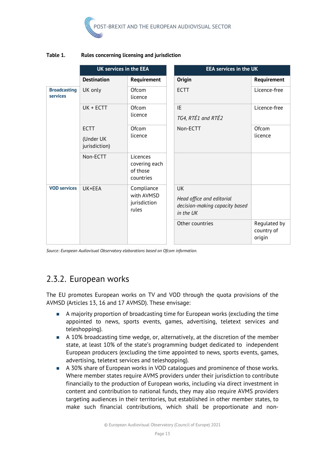

#### **Table 1. Rules concerning licensing and jurisdiction**

|                                 | <b>UK services in the EEA</b>             |                                                    | <b>EEA services in the UK</b>                                                         |                                      |
|---------------------------------|-------------------------------------------|----------------------------------------------------|---------------------------------------------------------------------------------------|--------------------------------------|
|                                 | <b>Destination</b>                        | Requirement                                        | <b>Origin</b>                                                                         | Requirement                          |
| <b>Broadcasting</b><br>services | UK only                                   | Ofcom<br>licence                                   | <b>ECTT</b>                                                                           | Licence-free                         |
|                                 | UK + ECTT                                 | Ofcom<br>licence                                   | IF<br>TG4, RTÉ1 and RTÉ2                                                              | Licence-free                         |
|                                 | <b>ECTT</b><br>(Under UK<br>jurisdiction) | Ofcom<br>licence                                   | Non-ECTT                                                                              | Ofcom<br>licence                     |
|                                 | Non-ECTT                                  | Licences<br>covering each<br>of those<br>countries |                                                                                       |                                      |
| <b>VOD services</b>             | UK+EEA                                    | Compliance<br>with AVMSD<br>jurisdiction<br>rules  | <b>UK</b><br>Head office and editorial<br>decision-making capacity based<br>in the UK |                                      |
|                                 |                                           |                                                    | Other countries                                                                       | Regulated by<br>country of<br>origin |

*Source: European Audiovisual Observatory elaborations based on Ofcom information.*

# <span id="page-17-0"></span>2.3.2. European works

The EU promotes European works on TV and VOD through the quota provisions of the AVMSD (Articles 13, 16 and 17 AVMSD). These envisage:

- A majority proportion of broadcasting time for European works (excluding the time appointed to news, sports events, games, advertising, teletext services and teleshopping).
- A 10% broadcasting time wedge, or, alternatively, at the discretion of the member state, at least 10% of the state's programming budget dedicated to independent European producers (excluding the time appointed to news, sports events, games, advertising, teletext services and teleshopping).
- A 30% share of European works in VOD catalogues and prominence of those works. Where member states require AVMS providers under their jurisdiction to contribute financially to the production of European works, including via direct investment in content and contribution to national funds, they may also require AVMS providers targeting audiences in their territories, but established in other member states, to make such financial contributions, which shall be proportionate and non-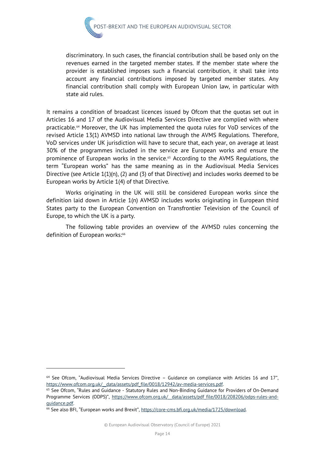

discriminatory. In such cases, the financial contribution shall be based only on the revenues earned in the targeted member states. If the member state where the provider is established imposes such a financial contribution, it shall take into account any financial contributions imposed by targeted member states. Any financial contribution shall comply with European Union law, in particular with state aid rules.

It remains a condition of broadcast licences issued by Ofcom that the quotas set out in Articles 16 and 17 of the Audiovisual Media Services Directive are complied with where practicable.[64](#page-18-0) Moreover, the UK has implemented the quota rules for VoD services of the revised Article 13(1) AVMSD into national law through the AVMS Regulations. Therefore, VoD services under UK jurisdiction will have to secure that, each year, on average at least 30% of the programmes included in the service are European works and ensure the prominence of European works in the service.[65](#page-18-1) According to the AVMS Regulations, the term "European works" has the same meaning as in the Audiovisual Media Services Directive (see Article 1(1)(n), (2) and (3) of that Directive) and includes works deemed to be European works by Article 1(4) of that Directive.

Works originating in the UK will still be considered European works since the definition laid down in Article 1(n) AVMSD includes works originating in European third States party to the European Convention on Transfrontier Television of the Council of Europe, to which the UK is a party.

The following table provides an overview of the AVMSD rules concerning the definition of European works:<sup>[66](#page-18-2)</sup>

<span id="page-18-0"></span> $64$  See Ofcom, "Audiovisual Media Services Directive - Guidance on compliance with Articles 16 and 17", https://www.ofcom.org.uk/\_data/assets/pdf\_file/0018/12942/av-media-services.pdf.<br><sup>65</sup> See Ofcom, "Rules and Guidance - Statutory Rules and Non-Binding Guidance for Providers of On-Demand

<span id="page-18-1"></span>Programme Services (ODPS)", https://www.ofcom.org.uk/ data/assets/pdf file/0018/208206/odps-rules-andguidance.pdf.<br><sup>66</sup> See also BFI, "European works and Brexit", https://core-cms.bfi.org.uk/media/1725/download.

<span id="page-18-2"></span>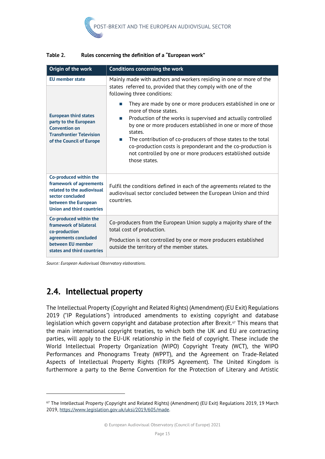

| Origin of the work                                                                                                                                              | <b>Conditions concerning the work</b>                                                                                                                                                                                                                                                                                                                                                                                                                              |  |  |  |
|-----------------------------------------------------------------------------------------------------------------------------------------------------------------|--------------------------------------------------------------------------------------------------------------------------------------------------------------------------------------------------------------------------------------------------------------------------------------------------------------------------------------------------------------------------------------------------------------------------------------------------------------------|--|--|--|
| <b>EU</b> member state                                                                                                                                          | Mainly made with authors and workers residing in one or more of the<br>states referred to, provided that they comply with one of the<br>following three conditions:                                                                                                                                                                                                                                                                                                |  |  |  |
| <b>European third states</b><br>party to the European<br><b>Convention on</b><br><b>Transfrontier Television</b><br>of the Council of Europe                    | They are made by one or more producers established in one or<br>m.<br>more of those states.<br>Production of the works is supervised and actually controlled<br>by one or more producers established in one or more of those<br>states.<br>The contribution of co-producers of those states to the total<br>$\sim$<br>co-production costs is preponderant and the co-production is<br>not controlled by one or more producers established outside<br>those states. |  |  |  |
| Co-produced within the<br>framework of agreements<br>related to the audiovisual<br>sector concluded<br>between the European<br><b>Union and third countries</b> | Fulfil the conditions defined in each of the agreements related to the<br>audiovisual sector concluded between the European Union and third<br>countries.                                                                                                                                                                                                                                                                                                          |  |  |  |
| Co-produced within the<br>framework of bilateral<br>co-production<br>agreements concluded<br>between EU member<br>states and third countries                    | Co-producers from the European Union supply a majority share of the<br>total cost of production.<br>Production is not controlled by one or more producers established<br>outside the territory of the member states.                                                                                                                                                                                                                                               |  |  |  |

#### **Table 2. Rules concerning the definition of a "European work"**

*Source: European Audiovisual Observatory elaborations.* 

# <span id="page-19-0"></span>**2.4. Intellectual property**

The Intellectual Property (Copyright and Related Rights) (Amendment) (EU Exit) Regulations 2019 ("IP Regulations") introduced amendments to existing copyright and database legislation which govern copyright and database protection after Brexit.<sup>[67](#page-19-1)</sup> This means that the main international copyright treaties, to which both the UK and EU are contracting parties, will apply to the EU-UK relationship in the field of copyright. These include the World Intellectual Property Organization (WIPO) Copyright Treaty (WCT), the WIPO Performances and Phonograms Treaty (WPPT), and the Agreement on Trade-Related Aspects of Intellectual Property Rights (TRIPS Agreement). The United Kingdom is furthermore a party to the Berne Convention for the Protection of Literary and Artistic

<span id="page-19-1"></span><sup>67</sup> The Intellectual Property (Copyright and Related Rights) (Amendment) (EU Exit) Regulations 2019, 19 March 2019, [https://www.legislation.gov.uk/uksi/2019/605/made.](https://www.legislation.gov.uk/uksi/2019/605/made)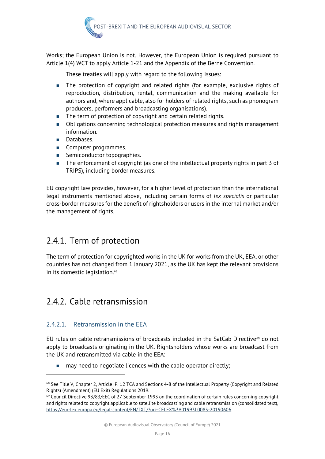

Works; the European Union is not. However, the European Union is required pursuant to Article 1(4) WCT to apply Article 1-21 and the Appendix of the Berne Convention.

These treaties will apply with regard to the following issues:

- The protection of copyright and related rights (for example, exclusive rights of reproduction, distribution, rental, communication and the making available for authors and, where applicable, also for holders of related rights, such as phonogram producers, performers and broadcasting organisations).
- The term of protection of copyright and certain related rights.
- **D** Obligations concerning technological protection measures and rights management information.
- Databases.
- Computer programmes.
- Semiconductor topographies.
- The enforcement of copyright (as one of the intellectual property rights in part 3 of TRIPS), including border measures.

EU copyright law provides, however, for a higher level of protection than the international legal instruments mentioned above, including certain forms of *lex specialis* or particular cross-border measures for the benefit of rightsholders or users in the internal market and/or the management of rights.

# <span id="page-20-0"></span>2.4.1. Term of protection

The term of protection for copyrighted works in the UK for works from the UK, EEA, or other countries has not changed from 1 January 2021, as the UK has kept the relevant provisions in its domestic legislation.<sup>[68](#page-20-2)</sup>

# <span id="page-20-1"></span>2.4.2. Cable retransmission

#### 2.4.2.1. Retransmission in the EEA

EU rules on cable retransmissions of broadcasts included in the SatCab Directive $\omega$  do not apply to broadcasts originating in the UK. Rightsholders whose works are broadcast from the UK and retransmitted via cable in the EEA:

 $\blacksquare$  may need to negotiate licences with the cable operator directly;

© European Audiovisual Observatory (Council of Europe) 2021

<span id="page-20-2"></span><sup>&</sup>lt;sup>68</sup> See Title V, Chapter 2, Article IP. 12 TCA and Sections 4-8 of the Intellectual Property (Copyright and Related Rights) (Amendment) (EU Exit) Regulations 2019.<br><sup>69</sup> Council Directive 93/83/EEC of 27 September 1993 on the coordination of certain rules concerning copyright

<span id="page-20-3"></span>and rights related to copyright applicable to satellite broadcasting and cable retransmission (consolidated text), [https://eur-lex.europa.eu/legal-content/EN/TXT/?uri=CELEX%3A01993L0083-20190606.](https://eur-lex.europa.eu/legal-content/EN/TXT/?uri=CELEX%3A01993L0083-20190606)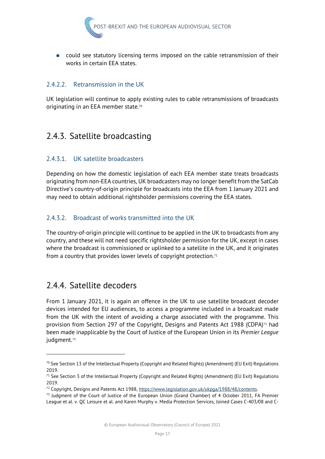

 could see statutory licensing terms imposed on the cable retransmission of their works in certain EEA states.

#### 2.4.2.2.2. Retransmission in the UK

UK legislation will continue to apply existing rules to cable retransmissions of broadcasts originating in an EEA member state.<sup>[70](#page-21-2)</sup>

# <span id="page-21-0"></span>2.4.3. Satellite broadcasting

#### 2.4.3.1. UK satellite broadcasters

Depending on how the domestic legislation of each EEA member state treats broadcasts originating from non-EEA countries, UK broadcasters may no longer benefit from the SatCab Directive's country-of-origin principle for broadcasts into the EEA from 1 January 2021 and may need to obtain additional rightsholder permissions covering the EEA states.

#### 2.4.3.2. Broadcast of works transmitted into the UK

The country-of-origin principle will continue to be applied in the UK to broadcasts from any country, and these will not need specific rightsholder permission for the UK, except in cases where the broadcast is commissioned or uplinked to a satellite in the UK, and it originates from a country that provides lower levels of copyright protection.<sup>[71](#page-21-3)</sup>

### <span id="page-21-1"></span>2.4.4. Satellite decoders

From 1 January 2021, it is again an offence in the UK to use satellite broadcast decoder devices intended for EU audiences, to access a programme included in a broadcast made from the UK with the intent of avoiding a charge associated with the programme. This provision from Section 297 of the Copyright, Designs and Patents Act 1988 (CDPA)<sup>[72](#page-21-4)</sup> had been made inapplicable by the Court of Justice of the European Union in its *Premier League* judgment.<sup>[73](#page-21-5)</sup>

<span id="page-21-2"></span> $70$  See Section 13 of the Intellectual Property (Copyright and Related Rights) (Amendment) (EU Exit) Regulations 2019.

<span id="page-21-3"></span> $71$  See Section 3 of the Intellectual Property (Copyright and Related Rights) (Amendment) (EU Exit) Regulations 2019.

<span id="page-21-5"></span><span id="page-21-4"></span><sup>&</sup>lt;sup>72</sup> Copyright, Designs and Patents Act 1988, https://www.legislation.gov.uk/ukpga/1988/48/contents.<br><sup>73</sup> Judgment of the Court of Justice of the European Union (Grand Chamber) of 4 October 2011, FA Premier League et al. v. QC Leisure et al. and Karen Murphy v. Media Protection Services, Joined Cases C-403/08 and C-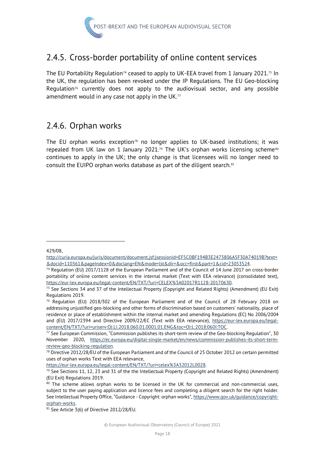

# <span id="page-22-0"></span>2.4.5. Cross-border portability of online content services

The EU Portability Regulation<sup>[74](#page-22-2)</sup> ceased to apply to UK-EEA travel from 1 January 2021.<sup>[75](#page-22-3)</sup> In the UK, the regulation has been revoked under the IP Regulations. The EU Geo-blocking Regulation<sup>[76](#page-22-4)</sup> currently does not apply to the audiovisual sector, and any possible amendment would in any case not apply in the UK. $<sup>77</sup>$  $<sup>77</sup>$  $<sup>77</sup>$ </sup>

### <span id="page-22-1"></span>2.4.6. Orphan works

The EU orphan works exception<sup>78</sup> no longer applies to UK-based institutions; it was repealed from UK law on 1 January 2021.<sup>[79](#page-22-7)</sup> The UK's orphan works licensing scheme<sup>[80](#page-22-8)</sup> continues to apply in the UK; the only change is that licensees will no longer need to consult the EUIPO orphan works database as part of the diligent search.<sup>[81](#page-22-9)</sup>

429/08,

[http://curia.europa.eu/juris/document/document.jsf;jsessionid=EF5C0BF194B3E2473806A5F30A74019B?text=](http://curia.europa.eu/juris/document/document.jsf;jsessionid=EF5C0BF194B3E2473806A5F30A74019B?text=&docid=110361&pageIndex=0&doclang=EN&mode=lst&dir=&occ=first&part=1&cid=23053524) [&docid=110361&pageIndex=0&doclang=EN&mode=lst&dir=&occ=first&part=1&cid=23053524.](http://curia.europa.eu/juris/document/document.jsf;jsessionid=EF5C0BF194B3E2473806A5F30A74019B?text=&docid=110361&pageIndex=0&doclang=EN&mode=lst&dir=&occ=first&part=1&cid=23053524) 74 Regulation (EU) 2017/1128 of the European Parliament and of the Council of 14 June 2017 on cross-border

<span id="page-22-2"></span>portability of online content services in the internal market (Text with EEA relevance) (consolidated text), https://eur-lex.europa.eu/legal-content/EN/TXT/?uri=CELEX%3A02017R1128-20170630.<br><sup>75</sup> See Sections 34 and 37 of the Intellectual Property (Copyright and Related Rights) (Amendment) (EU Exit)

<span id="page-22-3"></span>Regulations 2019.

<span id="page-22-4"></span> $76$  Regulation (EU) 2018/302 of the European Parliament and of the Council of 28 February 2018 on addressing unjustified geo-blocking and other forms of discrimination based on customers' nationality, place of residence or place of establishment within the internal market and amending Regulations (EC) No 2006/2004 and (EU) 2017/2394 and Directive 2009/22/EC (Text with EEA relevance), [https://eur-lex.europa.eu/legal-](https://eur-lex.europa.eu/legal-content/EN/TXT/?uri=uriserv:OJ.LI.2018.060.01.0001.01.ENG&toc=OJ:L:2018:060I:TOC)

<span id="page-22-5"></span>[content/EN/TXT/?uri=uriserv:OJ.LI.2018.060.01.0001.01.ENG&toc=OJ:L:2018:060I:TOC.](https://eur-lex.europa.eu/legal-content/EN/TXT/?uri=uriserv:OJ.LI.2018.060.01.0001.01.ENG&toc=OJ:L:2018:060I:TOC)<br><sup>77</sup> See European Commission, "Commission publishes its short-term review of the Geo-blocking Regulation", 30 November 2020, [https://ec.europa.eu/digital-single-market/en/news/commission-publishes-its-short-term](https://ec.europa.eu/digital-single-market/en/news/commission-publishes-its-short-term-review-geo-blocking-regulation)review-geo-blocking-regulation.<br><sup>78</sup> Directive 2012/28/EU of the European Parliament and of the Council of 25 October 2012 on certain permitted

<span id="page-22-6"></span>uses of orphan works Text with EEA relevance,

<span id="page-22-7"></span>https://eur-lex.europa.eu/legal-content/EN/TXT/?uri=celex%3A32012L0028.<br><sup>79</sup> See Sections 11, 12, 23 and 31 of the the Intellectual Property (Copyright and Related Rights) (Amendment) (EU Exit) Regulations 2019.

<span id="page-22-8"></span><sup>&</sup>lt;sup>80</sup> The scheme allows orphan works to be licensed in the UK for commercial and non-commercial uses, subject to the user paying application and licence fees and completing a diligent search for the right holder. See Intellectual Property Office, "Guidance - Copyright: orphan works"[, https://www.gov.uk/guidance/copyright-](https://www.gov.uk/guidance/copyright-orphan-works)

<span id="page-22-9"></span>orphan-works.<br><sup>81</sup> See Article 3(6) of Directive 2012/28/EU.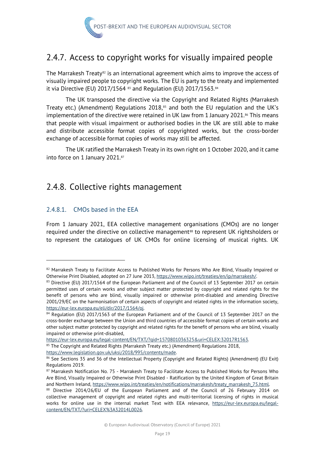

# <span id="page-23-0"></span>2.4.7. Access to copyright works for visually impaired people

The Marrakesh Treaty<sup>[82](#page-23-2)</sup> is an international agreement which aims to improve the access of visually impaired people to copyright works. The EU is party to the treaty and implemented it via Directive (EU) 2017/1564  $83$  and Regulation (EU) 2017/1563. $84$ 

The UK transposed the directive via the Copyright and Related Rights (Marrakesh Treaty etc.) (Amendment) Regulations 2018, $85$  and both the EU regulation and the UK's implementation of the directive were retained in UK law from 1 January 2021.<sup>[86](#page-23-6)</sup> This means that people with visual impairment or authorised bodies in the UK are still able to make and distribute accessible format copies of copyrighted works, but the cross-border exchange of accessible format copies of works may still be affected.

The UK ratified the Marrakesh Treaty in its own right on 1 October 2020, and it came into force on 1 January 2021.[87](#page-23-7)

# <span id="page-23-1"></span>2.4.8. Collective rights management

#### 2.4.8.1. CMOs based in the EEA

From 1 January 2021, EEA collective management organisations (CMOs) are no longer required under the directive on collective management<sup>[88](#page-23-8)</sup> to represent UK rightsholders or to represent the catalogues of UK CMOs for online licensing of musical rights. UK

<span id="page-23-2"></span><sup>82</sup> Marrakesh Treaty to Facilitate Access to Published Works for Persons Who Are Blind, Visually Impaired or Otherwise Print Disabled, adopted on 27 June 2013, https://www.wipo.int/treaties/en/ip/marrakesh/.<br><sup>83</sup> Directive (EU) 2017/1564 of the European Parliament and of the Council of 13 September 2017 on certain

<span id="page-23-3"></span>permitted uses of certain works and other subject matter protected by copyright and related rights for the benefit of persons who are blind, visually impaired or otherwise print-disabled and amending Directive 2001/29/EC on the harmonisation of certain aspects of copyright and related rights in the information society, https://eur-lex.europa.eu/eli/dir/2017/1564/oj.<br><sup>84</sup> Regulation (EU) 2017/1563 of the European Parliament and of the Council of 13 September 2017 on the

<span id="page-23-4"></span>cross-border exchange between the Union and third countries of accessible format copies of certain works and other subject matter protected by copyright and related rights for the benefit of persons who are blind, visually impaired or otherwise print-disabled,

https://eur-lex.europa.eu/legal-content/EN/TXT/?qid=1570801036325&uri=CELEX:32017R1563.<br><sup>85</sup> The Copyright and Related Rights (Marrakesh Treaty etc.) (Amendment) Regulations 2018,

<span id="page-23-6"></span><span id="page-23-5"></span>https://www.legislation.gov.uk/uksi/2018/995/contents/made.<br><sup>86</sup> See Sections 35 and 36 of the Intellectual Property (Copyright and Related Rights) (Amendment) (EU Exit) Regulations 2019.

<span id="page-23-7"></span><sup>87</sup> Marrakesh Notification No. 75 - Marrakesh Treaty to Facilitate Access to Published Works for Persons Who Are Blind, Visually Impaired or Otherwise Print Disabled - Ratification by the United Kingdom of Great Britain and Northern Ireland, https://www.wipo.int/treaties/en/notifications/marrakesh/treaty\_marrakesh\_75.html.<br><sup>88</sup> Directive 2014/26/EU of the European Parliament and of the Council of 26 February 2014 on

<span id="page-23-8"></span>collective management of copyright and related rights and multi-territorial licensing of rights in musical works for online use in the internal market Text with EEA relevance, [https://eur-lex.europa.eu/legal](https://eur-lex.europa.eu/legal-content/EN/TXT/?uri=CELEX%3A32014L0026)[content/EN/TXT/?uri=CELEX%3A32014L0026.](https://eur-lex.europa.eu/legal-content/EN/TXT/?uri=CELEX%3A32014L0026)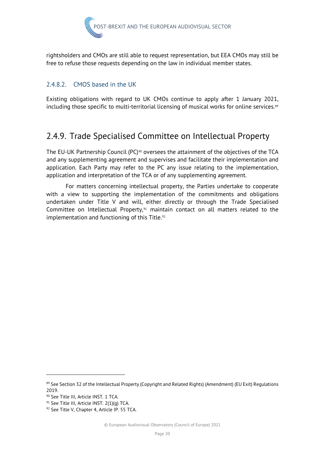

rightsholders and CMOs are still able to request representation, but EEA CMOs may still be free to refuse those requests depending on the law in individual member states.

#### 2.4.8.2. CMOS based in the UK

Existing obligations with regard to UK CMOs continue to apply after 1 January 2021, including those specific to multi-territorial licensing of musical works for online services.<sup>[89](#page-24-1)</sup>

# <span id="page-24-0"></span>2.4.9. Trade Specialised Committee on Intellectual Property

The EU-UK Partnership Council (PC)<sup>[90](#page-24-2)</sup> oversees the attainment of the objectives of the TCA and any supplementing agreement and supervises and facilitate their implementation and application. Each Party may refer to the PC any issue relating to the implementation, application and interpretation of the TCA or of any supplementing agreement.

For matters concerning intellectual property, the Parties undertake to cooperate with a view to supporting the implementation of the commitments and obligations undertaken under Title V and will, either directly or through the Trade Specialised Committee on Intellectual Property, $91$  maintain contact on all matters related to the implementation and functioning of this Title.<sup>[92](#page-24-4)</sup>

<span id="page-24-1"></span><sup>89</sup> See Section 32 of the Intellectual Property (Copyright and Related Rights) (Amendment) (EU Exit) Regulations 2019.

<span id="page-24-2"></span><sup>90</sup> See Title III, Article INST. 1 TCA.

<span id="page-24-3"></span><sup>91</sup> See Title III, Article INST. 2(1)(q) TCA.

<span id="page-24-4"></span><sup>92</sup> See Title V, Chapter 4, Article IP. 55 TCA.